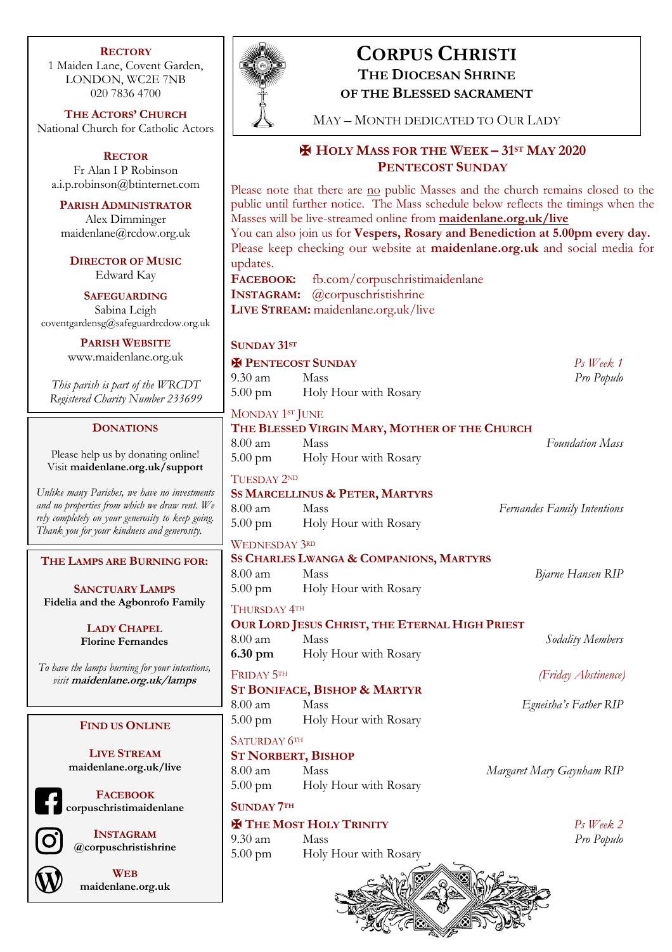#### **RECTORY**

1 Maiden Lane, Covent Garden, LONDON, WC2E 7NB 020 7836 4700

**THE ACTORS' CHURCH** National Church for Catholic Actors

**RECTOR** Fr Alan I P Robinson a.i.p.robinson@btinternet.com

**PARISH ADMINISTRATOR** Alex Dimminger maidenlane@rcdow.org.uk

**DIRECTOR OF MUSIC** Edward Kay

**SAFEGUARDING** Sabina Leigh coventgardensg@safeguardrcdow.org.uk

> **PARISH WEBSITE** www.maidenlane.org.uk

*This parish is part of the WRCDT Registered Charity Number 233699*

## **DONATIONS**

Please help us by donating online! Visit **maidenlane.org.uk/support**

*Unlike many Parishes, we have no investments and no properties from which we draw rent. We rely completely on your generosity to keep going. Thank you for your kindness and generosity.* 

**THE LAMPS ARE BURNING FOR:**

**SANCTUARY LAMPS Fidelia and the Agbonrofo Family**

> **LADY CHAPEL Florine Fernandes**

*To have the lamps burning for your intentions, visit* **maidenlane.org.uk/lamps**

#### **FIND US ONLINE**

**LIVE STREAM maidenlane.org.uk/live**

**FACEBOOK corpuschristimaidenlane**



**INSTAGRAM @corpuschristishrine**

**WEB maidenlane.org.uk**



# **CORPUS CHRISTI THE DIOCESAN SHRINE**

**OF THE BLESSED SACRAMENT**

MAY – MONTH DEDICATED TO OUR LADY

## ✠ **HOLY MASS FOR THE WEEK – 31ST MAY 2020 PENTECOST SUNDAY**

Please note that there are no public Masses and the church remains closed to the public until further notice. The Mass schedule below reflects the timings when the Masses will be live-streamed online from **maidenlane.org.uk/live** 

You can also join us for **Vespers, Rosary and Benediction at 5.00pm every day.** Please keep checking our website at **maidenlane.org.uk** and social media for updates.

**FACEBOOK:** fb.com/corpuschristimaidenlane **INSTAGRAM:** @corpuschristishrine **LIVE STREAM:** maidenlane.org.uk/live

## **SUNDAY 31ST**

| UUINDAI JI                                                |                                                       |                                    |
|-----------------------------------------------------------|-------------------------------------------------------|------------------------------------|
| <b>H</b> PENTECOST SUNDAY                                 |                                                       | Ps Week 1                          |
| 9.30 am                                                   | Mass                                                  | Pro Populo                         |
|                                                           | 5.00 pm Holy Hour with Rosary                         |                                    |
| MONDAY 1ST JUNE                                           |                                                       |                                    |
| $8.00$ am                                                 | THE BLESSED VIRGIN MARY, MOTHER OF THE CHURCH<br>Mass | <b>Foundation Mass</b>             |
|                                                           | 5.00 pm Holy Hour with Rosary                         |                                    |
|                                                           |                                                       |                                    |
| TUESDAY 2ND<br><b>SS MARCELLINUS &amp; PETER, MARTYRS</b> |                                                       |                                    |
| $8.00 \text{ am}$                                         | <b>Mass</b>                                           | <b>Fernandes Family Intentions</b> |
|                                                           | 5.00 pm Holy Hour with Rosary                         |                                    |
| <b>WEDNESDAY 3RD</b>                                      |                                                       |                                    |
| SS CHARLES LWANGA & COMPANIONS, MARTYRS                   |                                                       |                                    |
| $8.00 \text{ am}$                                         | Mass                                                  | Bjarne Hansen RIP                  |
|                                                           | 5.00 pm Holy Hour with Rosary                         |                                    |
| Thursday 4th                                              |                                                       |                                    |
| OUR LORD JESUS CHRIST, THE ETERNAL HIGH PRIEST            |                                                       |                                    |
| 8.00 am                                                   | Mass                                                  | Sodality Members                   |
|                                                           | <b>6.30 pm</b> Holy Hour with Rosary                  |                                    |
| FRIDAY 5TH                                                |                                                       | (Friday Abstinence)                |
|                                                           | <b>ST BONIFACE, BISHOP &amp; MARTYR</b>               |                                    |
| $8.00$ am                                                 | <b>Mass</b>                                           | Egneisha's Father RIP              |
|                                                           | 5.00 pm Holy Hour with Rosary                         |                                    |
| SATURDAY 6TH                                              |                                                       |                                    |

## **ST NORBERT, BISHOP**

8.00 am Mass *Margaret Mary Gaynham RIP* 5.00 pm Holy Hour with Rosary

**SUNDAY 7TH**

## ✠ **THE MOST HOLY TRINITY** *Ps Week 2*

9.30 am Mass *Pro Populo* 5.00 pm Holy Hour with Rosary